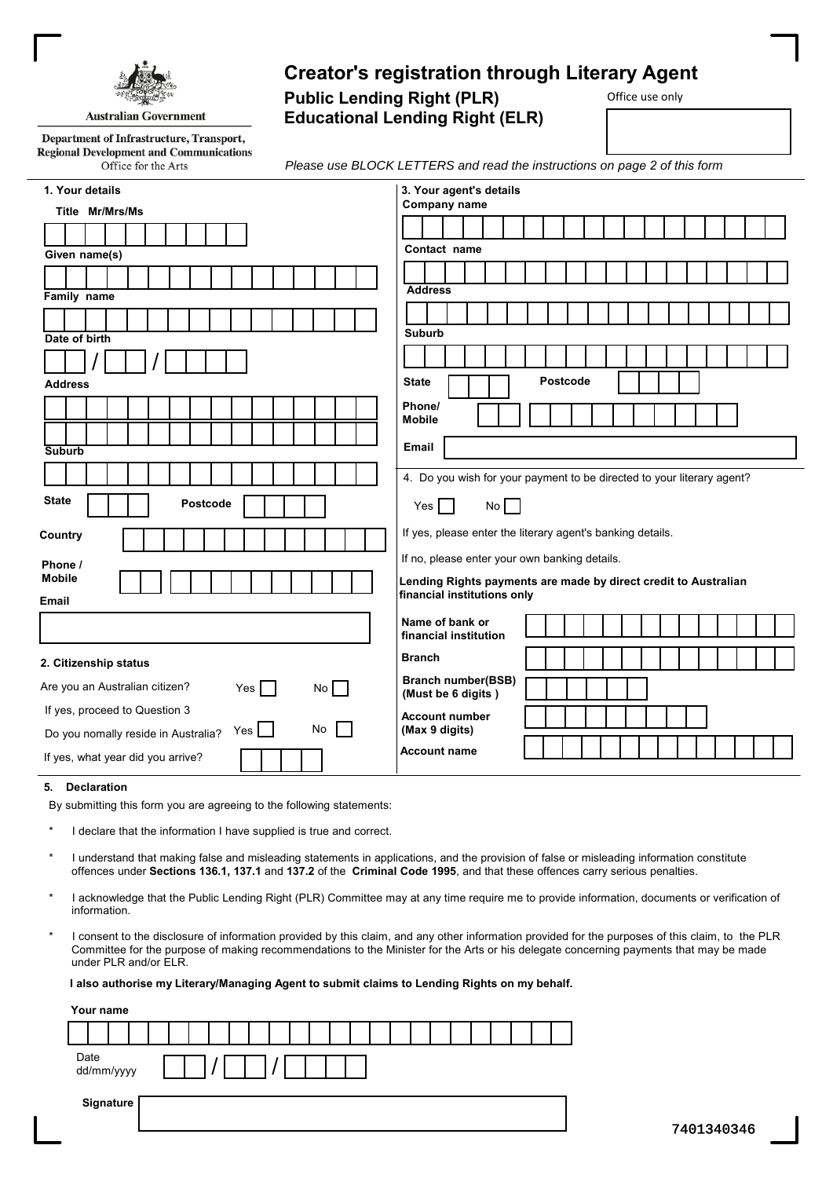

# **Creator's registration through Literary Agent**

Office use only

**Public Lending Right (PLR) Educational Lending Right (ELR)**

Department of Infrastructure, Transport, **Regional Development and Communications** Office for the Arts

*Please use BLOCK LETTERS and read the instructions on page 2 of this form*

| 1. Your details                                                 | 3. Your agent's details                                                |
|-----------------------------------------------------------------|------------------------------------------------------------------------|
| Title Mr/Mrs/Ms                                                 | Company name                                                           |
|                                                                 |                                                                        |
| Given name(s)                                                   | Contact name                                                           |
|                                                                 | <b>Address</b>                                                         |
| Family name                                                     |                                                                        |
|                                                                 | <b>Suburb</b>                                                          |
| Date of birth                                                   |                                                                        |
|                                                                 |                                                                        |
| <b>Address</b>                                                  | <b>Postcode</b><br><b>State</b>                                        |
|                                                                 | Phone/<br><b>Mobile</b>                                                |
|                                                                 |                                                                        |
| <b>Suburb</b>                                                   | <b>Email</b>                                                           |
|                                                                 | 4. Do you wish for your payment to be directed to your literary agent? |
| <b>State</b><br>Postcode                                        | No<br>Yes                                                              |
| Country                                                         | If yes, please enter the literary agent's banking details.             |
| Phone /                                                         | If no, please enter your own banking details.                          |
| <b>Mobile</b>                                                   | Lending Rights payments are made by direct credit to Australian        |
| Email                                                           | financial institutions only                                            |
|                                                                 | Name of bank or<br>financial institution                               |
| 2. Citizenship status                                           | <b>Branch</b>                                                          |
| Are you an Australian citizen?<br>Yes  <br>No                   | <b>Branch number(BSB)</b><br>(Must be 6 digits)                        |
| If yes, proceed to Question 3                                   | <b>Account number</b>                                                  |
| $Yes \mid \exists$<br>No<br>Do you nomally reside in Australia? | (Max 9 digits)                                                         |
| If yes, what year did you arrive?                               | <b>Account name</b>                                                    |

#### **5. Declaration**

By submitting this form you are agreeing to the following statements:

- I declare that the information I have supplied is true and correct.
- \* I understand that making false and misleading statements in applications, and the provision of false or misleading information constitute offences under **Sections 136.1, 137.1** and **137.2** of the **Criminal Code 1995**, and that these offences carry serious penalties.
- \* I acknowledge that the Public Lending Right (PLR) Committee may at any time require me to provide information, documents or verification of information.
- \* I consent to the disclosure of information provided by this claim, and any other information provided for the purposes of this claim, to the PLR Committee for the purpose of making recommendations to the Minister for the Arts or his delegate concerning payments that may be made under PLR and/or ELR.

 **I also authorise my Literary/Managing Agent to submit claims to Lending Rights on my behalf.**

| Your name          |  |  |
|--------------------|--|--|
|                    |  |  |
| Date<br>dd/mm/yyyy |  |  |
| Signature          |  |  |